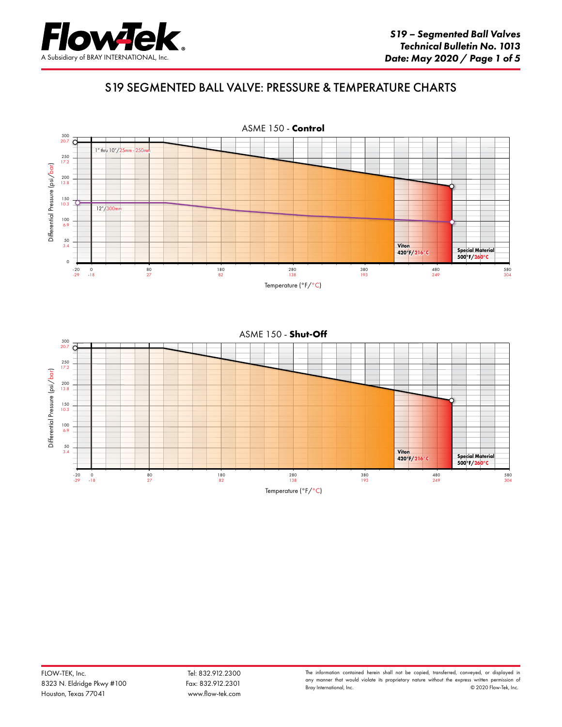

## S19 SEGMENTED BALL VALVE: PRESSURE & TEMPERATURE CHARTS

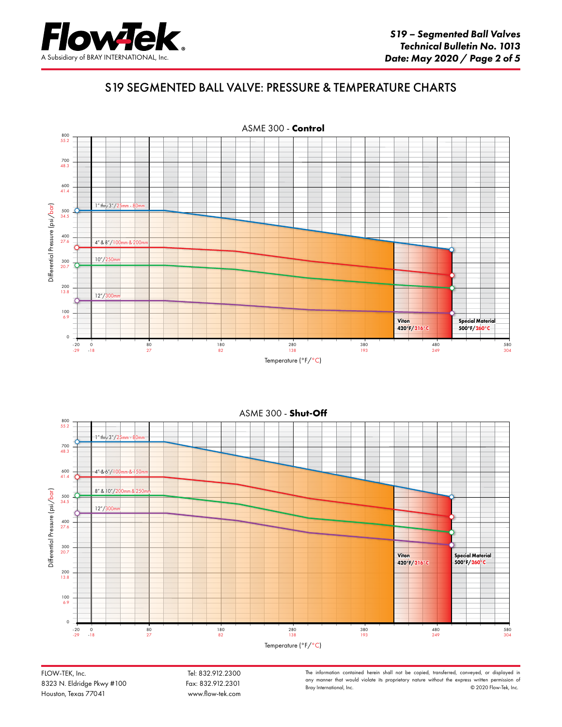

#### S19 SEGMENTED BALL VALVE: PRESSURE & TEMPERATURE CHARTS





FLOW-TEK, Inc. 6. Tel: 832.912.2300 8323 N. Eldridge Pkwy #100 Fax: 832.912.2301 Houston, Texas 77041 www.flow-tek.com

The information contained herein shall not be copied, transferred, conveyed, or displayed in any manner that would violate its proprietary nature without the express written permission of Bray International, Inc.  $\circ$  2020 Flow-Tek, Inc.  $© 2020$  Flow-Tek, Inc.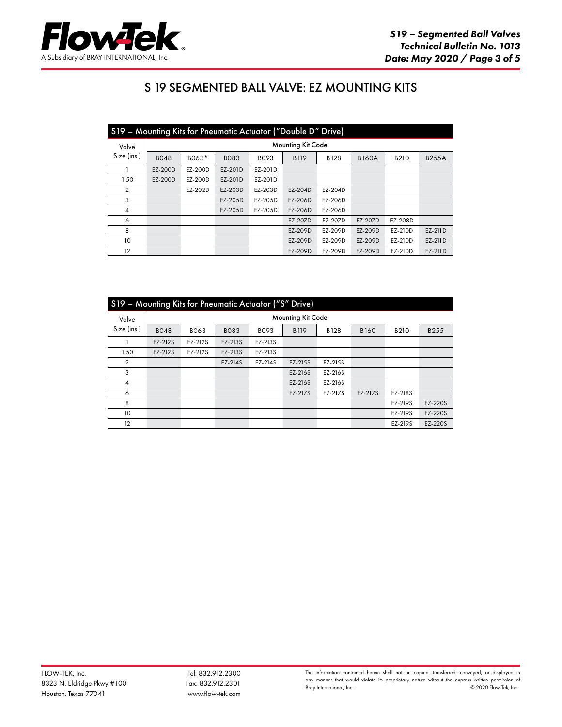

## S 19 SEGMENTED BALL VALVE: EZ MOUNTING KITS

| S19 - Mounting Kits for Pneumatic Actuator ("Double D" Drive) |                   |         |             |         |             |             |              |             |              |  |  |  |  |
|---------------------------------------------------------------|-------------------|---------|-------------|---------|-------------|-------------|--------------|-------------|--------------|--|--|--|--|
| Valve<br>Size (ins.)                                          | Mounting Kit Code |         |             |         |             |             |              |             |              |  |  |  |  |
|                                                               | <b>BO48</b>       | B063*   | <b>BO83</b> | B093    | <b>B119</b> | <b>B128</b> | <b>B160A</b> | <b>B210</b> | <b>B255A</b> |  |  |  |  |
|                                                               | EZ-200D           | EZ-200D | EZ-201D     | EZ-201D |             |             |              |             |              |  |  |  |  |
| 1.50                                                          | EZ-200D           | EZ-200D | EZ-201D     | EZ-201D |             |             |              |             |              |  |  |  |  |
| 2                                                             |                   | EZ-202D | EZ-203D     | EZ-203D | EZ-204D     | EZ-204D     |              |             |              |  |  |  |  |
| 3                                                             |                   |         | EZ-205D     | EZ-205D | EZ-206D     | EZ-206D     |              |             |              |  |  |  |  |
| 4                                                             |                   |         | EZ-205D     | EZ-205D | EZ-206D     | EZ-206D     |              |             |              |  |  |  |  |
| 6                                                             |                   |         |             |         | EZ-207D     | EZ-207D     | EZ-207D      | EZ-208D     |              |  |  |  |  |
| 8                                                             |                   |         |             |         | EZ-209D     | EZ-209D     | EZ-209D      | EZ-210D     | EZ-211D      |  |  |  |  |
| 10                                                            |                   |         |             |         | EZ-209D     | EZ-209D     | EZ-209D      | EZ-210D     | EZ-211D      |  |  |  |  |
| 12                                                            |                   |         |             |         | EZ-209D     | EZ-209D     | EZ-209D      | EZ-210D     | EZ-211D      |  |  |  |  |

| S19 - Mounting Kits for Pneumatic Actuator ("S" Drive) |                          |             |             |         |             |             |             |             |         |  |  |  |  |
|--------------------------------------------------------|--------------------------|-------------|-------------|---------|-------------|-------------|-------------|-------------|---------|--|--|--|--|
| Valve                                                  | <b>Mounting Kit Code</b> |             |             |         |             |             |             |             |         |  |  |  |  |
| Size (ins.)                                            | <b>BO48</b>              | <b>BO63</b> | <b>BO83</b> | B093    | <b>B119</b> | <b>B128</b> | <b>B160</b> | <b>B210</b> | B255    |  |  |  |  |
|                                                        | EZ-212S                  | EZ-212S     | EZ-213S     | EZ-213S |             |             |             |             |         |  |  |  |  |
| 1.50                                                   | EZ-212S                  | EZ-212S     | EZ-213S     | EZ-213S |             |             |             |             |         |  |  |  |  |
| 2                                                      |                          |             | EZ-214S     | EZ-214S | EZ-215S     | EZ-215S     |             |             |         |  |  |  |  |
| 3                                                      |                          |             |             |         | EZ-216S     | EZ-216S     |             |             |         |  |  |  |  |
| $\overline{4}$                                         |                          |             |             |         | EZ-216S     | EZ-216S     |             |             |         |  |  |  |  |
| 6                                                      |                          |             |             |         | EZ-217S     | EZ-217S     | EZ-217S     | EZ-218S     |         |  |  |  |  |
| 8                                                      |                          |             |             |         |             |             |             | EZ-219S     | EZ-220S |  |  |  |  |
| 10                                                     |                          |             |             |         |             |             |             | EZ-219S     | EZ-220S |  |  |  |  |
| 12                                                     |                          |             |             |         |             |             |             | EZ-219S     | EZ-220S |  |  |  |  |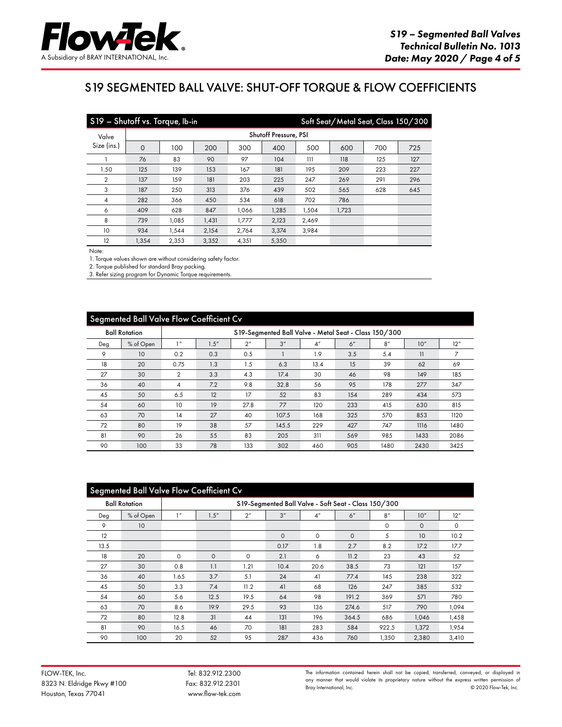

# S19 SEGMENTED BALL VALVE: SHUT-OFF TORQUE & FLOW COEFFICIENTS

|                | S19 - Shutoff vs. Torque, Ib-in<br>Soft Seat/Metal Seat, Class 150/300 |                       |       |       |       |       |       |     |     |  |  |  |  |  |
|----------------|------------------------------------------------------------------------|-----------------------|-------|-------|-------|-------|-------|-----|-----|--|--|--|--|--|
| Valve          |                                                                        | Shutoff Pressure, PSI |       |       |       |       |       |     |     |  |  |  |  |  |
| Size (ins.)    | $\mathbf 0$                                                            | 100                   | 200   | 300   | 400   | 500   | 600   | 700 | 725 |  |  |  |  |  |
|                | 76                                                                     | 83                    | 90    | 97    | 104   | 111   | 118   | 125 | 127 |  |  |  |  |  |
| 1.50           | 125                                                                    | 139                   | 153   | 167   | 181   | 195   | 209   | 223 | 227 |  |  |  |  |  |
| $\overline{2}$ | 137                                                                    | 159                   | 181   | 203   | 225   | 247   | 269   | 291 | 296 |  |  |  |  |  |
| 3              | 187                                                                    | 250                   | 313   | 376   | 439   | 502   | 565   | 628 | 645 |  |  |  |  |  |
| 4              | 282                                                                    | 366                   | 450   | 534   | 618   | 702   | 786   |     |     |  |  |  |  |  |
| 6              | 409                                                                    | 628                   | 847   | 1.066 | 1.285 | 1.504 | 1,723 |     |     |  |  |  |  |  |
| 8              | 739                                                                    | 1.085                 | 1.431 | 1.777 | 2.123 | 2.469 |       |     |     |  |  |  |  |  |
| 10             | 934                                                                    | 1.544                 | 2,154 | 2,764 | 3,374 | 3,984 |       |     |     |  |  |  |  |  |
| 12             | 1,354                                                                  | 2,353                 | 3,352 | 4,351 | 5,350 |       |       |     |     |  |  |  |  |  |

Note:

1. Torque values shown are without considering safety factor.

2. Torque published for standard Bray packing.

3. Refer sizing program for Dynamic Torque requirements.

| Segmented Ball Valve Flow Coefficient Cv |                      |                                                       |       |                 |       |                 |     |      |      |      |  |
|------------------------------------------|----------------------|-------------------------------------------------------|-------|-----------------|-------|-----------------|-----|------|------|------|--|
|                                          | <b>Ball Rotation</b> | S19-Segmented Ball Valve - Metal Seat - Class 150/300 |       |                 |       |                 |     |      |      |      |  |
| Deg                                      | % of Open            | 1''                                                   | 1.5'' | 2 <sup>''</sup> | 3''   | 4 <sup>''</sup> | 6'' | 8''  | 10"  | 12"  |  |
| 9                                        | 10                   | 0.2                                                   | 0.3   | 0.5             |       | 1.9             | 3.5 | 5.4  | 11   | 7    |  |
| 18                                       | 20                   | 0.75                                                  | 1.3   | 1.5             | 6.3   | 13.4            | 15  | 39   | 62   | 69   |  |
| 27                                       | 30                   | $\overline{2}$                                        | 3.3   | 4.3             | 17.4  | 30              | 46  | 98   | 149  | 185  |  |
| 36                                       | 40                   | 4                                                     | 7.2   | 9.8             | 32.8  | 56              | 95  | 178  | 277  | 347  |  |
| 45                                       | 50                   | 6.5                                                   | 12    | 17              | 52    | 83              | 154 | 289  | 434  | 573  |  |
| 54                                       | 60                   | 10                                                    | 19    | 27.8            | 77    | 120             | 233 | 415  | 630  | 815  |  |
| 63                                       | 70                   | 14                                                    | 27    | 40              | 107.5 | 168             | 325 | 570  | 853  | 1120 |  |
| 72                                       | 80                   | 19                                                    | 38    | 57              | 145.5 | 229             | 427 | 747  | 1116 | 1480 |  |
| 81                                       | 90                   | 26                                                    | 55    | 83              | 205   | 311             | 569 | 985  | 1433 | 2086 |  |
| 90                                       | 100                  | 33                                                    | 78    | 133             | 302   | 460             | 905 | 1480 | 2430 | 3425 |  |

| <b>Segmented Ball Valve Flow Coefficient Cv</b> |                      |                                                      |          |                 |          |                    |          |       |             |       |
|-------------------------------------------------|----------------------|------------------------------------------------------|----------|-----------------|----------|--------------------|----------|-------|-------------|-------|
|                                                 | <b>Ball Rotation</b> | S19-Segmented Ball Valve - Soft Seat - Class 150/300 |          |                 |          |                    |          |       |             |       |
| Deg                                             | % of Open            | 1''                                                  | 1.5''    | 2 <sup>''</sup> | 3''      | $4^{\prime\prime}$ | 6''      | 8''   | 10"         | 12"   |
| 9                                               | 10                   |                                                      |          |                 |          |                    |          | 0     | $\mathbf 0$ | 0     |
| 12                                              |                      |                                                      |          |                 | $\Omega$ | $\circ$            | $\Omega$ | 5     | 10          | 10.2  |
| 13.5                                            |                      |                                                      |          |                 | 0.17     | 1.8                | 2.7      | 8.2   | 17.2        | 17.7  |
| 18                                              | 20                   | $\Omega$                                             | $\Omega$ | $\Omega$        | 2.1      | 6                  | 11.2     | 23    | 43          | 52    |
| 27                                              | 30                   | 0.8                                                  | 1.1      | 1.21            | 10.4     | 20.6               | 38.5     | 73    | 121         | 157   |
| 36                                              | 40                   | 1.65                                                 | 3.7      | 5.1             | 24       | 41                 | 77.4     | 145   | 238         | 322   |
| 45                                              | 50                   | 3.3                                                  | 7.4      | 11.2            | 41       | 68                 | 126      | 247   | 385         | 532   |
| 54                                              | 60                   | 5.6                                                  | 12.5     | 19.5            | 64       | 98                 | 191.2    | 369   | 571         | 780   |
| 63                                              | 70                   | 8.6                                                  | 19.9     | 29.5            | 93       | 136                | 274.6    | 517   | 790         | 1.094 |
| 72                                              | 80                   | 12.8                                                 | 31       | 44              | 131      | 196                | 364.5    | 686   | 1,046       | 1,458 |
| 81                                              | 90                   | 16.5                                                 | 46       | 70              | 181      | 283                | 584      | 922.5 | 1,372       | 1.954 |
| 90                                              | 100                  | 20                                                   | 52       | 95              | 287      | 436                | 760      | 1,350 | 2,380       | 3,410 |